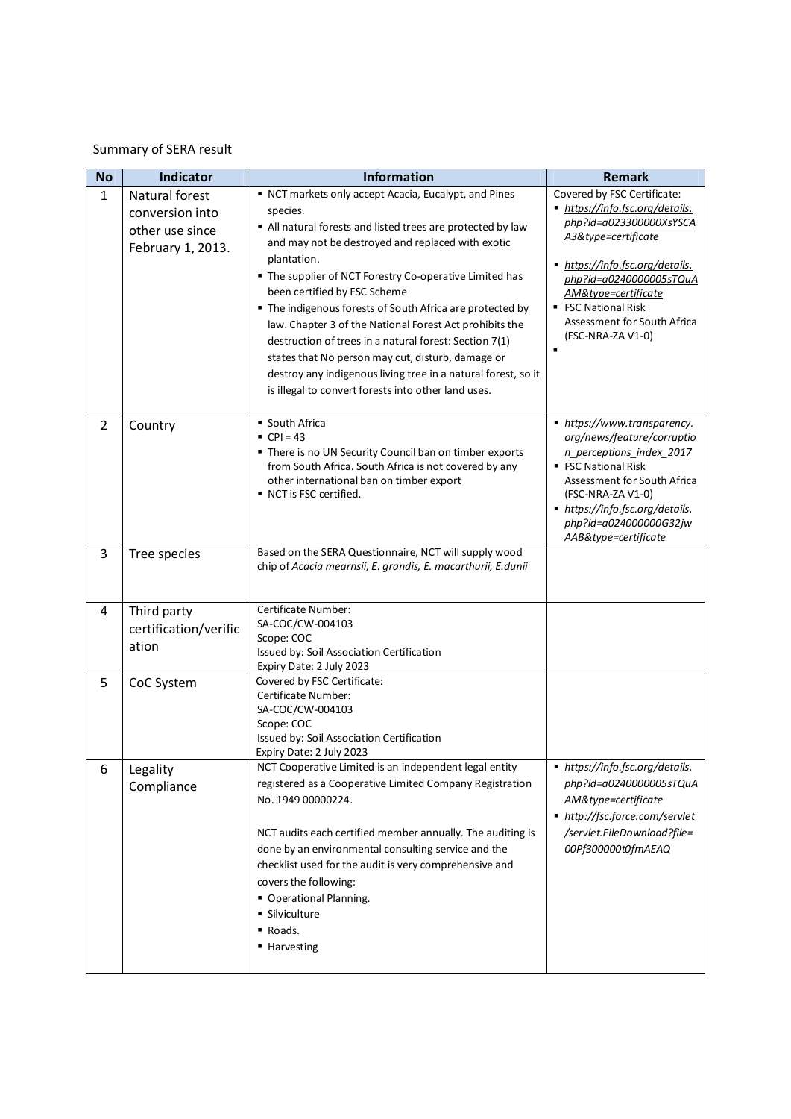## Summary of SERA result

| <b>No</b>      | <b>Indicator</b>                                                          | <b>Information</b>                                                                                                                                                                                                                                                                                                                                                                                                                                                                                                                                                                                                                                           | <b>Remark</b>                                                                                                                                                                                                                                                                                       |
|----------------|---------------------------------------------------------------------------|--------------------------------------------------------------------------------------------------------------------------------------------------------------------------------------------------------------------------------------------------------------------------------------------------------------------------------------------------------------------------------------------------------------------------------------------------------------------------------------------------------------------------------------------------------------------------------------------------------------------------------------------------------------|-----------------------------------------------------------------------------------------------------------------------------------------------------------------------------------------------------------------------------------------------------------------------------------------------------|
| $\mathbf{1}$   | Natural forest<br>conversion into<br>other use since<br>February 1, 2013. | " NCT markets only accept Acacia, Eucalypt, and Pines<br>species.<br>All natural forests and listed trees are protected by law<br>and may not be destroyed and replaced with exotic<br>plantation.<br>" The supplier of NCT Forestry Co-operative Limited has<br>been certified by FSC Scheme<br>" The indigenous forests of South Africa are protected by<br>law. Chapter 3 of the National Forest Act prohibits the<br>destruction of trees in a natural forest: Section 7(1)<br>states that No person may cut, disturb, damage or<br>destroy any indigenous living tree in a natural forest, so it<br>is illegal to convert forests into other land uses. | Covered by FSC Certificate:<br>https://info.fsc.org/details.<br>php?id=a023300000XsYSCA<br>A3&type=certificate<br>https://info.fsc.org/details.<br>php?id=a0240000005sTQuA<br>AM&type=certificate<br><b>FSC National Risk</b><br>Assessment for South Africa<br>(FSC-NRA-ZA V1-0)<br>$\blacksquare$ |
| $\overline{2}$ | Country                                                                   | South Africa<br>$CPI = 43$<br>" There is no UN Security Council ban on timber exports<br>from South Africa. South Africa is not covered by any<br>other international ban on timber export<br>■ NCT is FSC certified.                                                                                                                                                                                                                                                                                                                                                                                                                                        | ■ https://www.transparency.<br>org/news/feature/corruptio<br>n perceptions index 2017<br>■ FSC National Risk<br>Assessment for South Africa<br>(FSC-NRA-ZA V1-0)<br>■ https://info.fsc.org/details.<br>php?id=a024000000G32jw<br>AAB&type=certificate                                               |
| 3              | Tree species                                                              | Based on the SERA Questionnaire, NCT will supply wood<br>chip of Acacia mearnsii, E. grandis, E. macarthurii, E.dunii                                                                                                                                                                                                                                                                                                                                                                                                                                                                                                                                        |                                                                                                                                                                                                                                                                                                     |
| 4              | Third party<br>certification/verific<br>ation                             | Certificate Number:<br>SA-COC/CW-004103<br>Scope: COC<br>Issued by: Soil Association Certification<br>Expiry Date: 2 July 2023                                                                                                                                                                                                                                                                                                                                                                                                                                                                                                                               |                                                                                                                                                                                                                                                                                                     |
| 5              | CoC System                                                                | Covered by FSC Certificate:<br>Certificate Number:<br>SA-COC/CW-004103<br>Scope: COC<br>Issued by: Soil Association Certification<br>Expiry Date: 2 July 2023                                                                                                                                                                                                                                                                                                                                                                                                                                                                                                |                                                                                                                                                                                                                                                                                                     |
| 6              | Legality<br>Compliance                                                    | NCT Cooperative Limited is an independent legal entity<br>registered as a Cooperative Limited Company Registration<br>No. 1949 00000224.<br>NCT audits each certified member annually. The auditing is<br>done by an environmental consulting service and the<br>checklist used for the audit is very comprehensive and<br>covers the following:<br>• Operational Planning.<br>· Silviculture<br>Roads.<br>■ Harvesting                                                                                                                                                                                                                                      | ■ https://info.fsc.org/details.<br>php?id=a0240000005sTQuA<br>AM&type=certificate<br>■ http://fsc.force.com/servlet<br>/servlet.FileDownload?file=<br>00Pf300000t0fmAEAQ                                                                                                                            |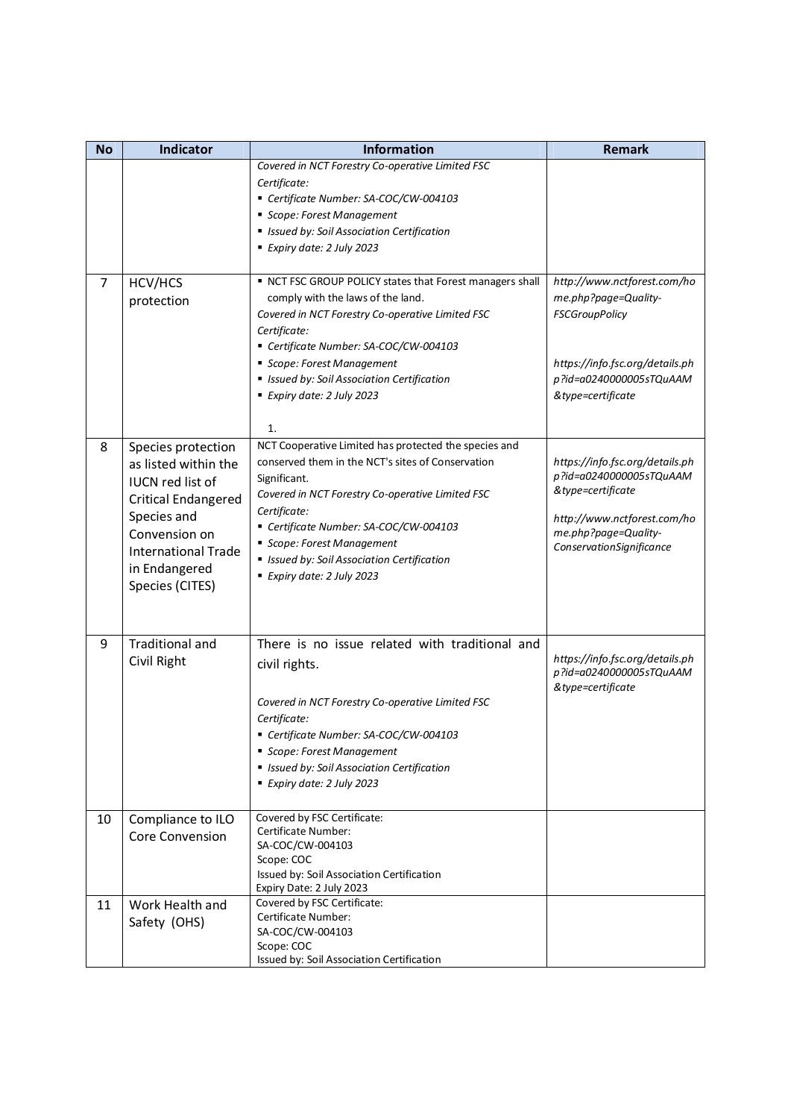| <b>No</b> | Indicator                                                                                                                                                                                             | <b>Information</b>                                                                                                                                                                                                                                                                                                                                    | <b>Remark</b>                                                                                                                                                      |
|-----------|-------------------------------------------------------------------------------------------------------------------------------------------------------------------------------------------------------|-------------------------------------------------------------------------------------------------------------------------------------------------------------------------------------------------------------------------------------------------------------------------------------------------------------------------------------------------------|--------------------------------------------------------------------------------------------------------------------------------------------------------------------|
|           |                                                                                                                                                                                                       | Covered in NCT Forestry Co-operative Limited FSC<br>Certificate:<br>Certificate Number: SA-COC/CW-004103<br>Scope: Forest Management<br><b>In Issued by: Soil Association Certification</b>                                                                                                                                                           |                                                                                                                                                                    |
|           |                                                                                                                                                                                                       | Expiry date: 2 July 2023                                                                                                                                                                                                                                                                                                                              |                                                                                                                                                                    |
| 7         | HCV/HCS<br>protection                                                                                                                                                                                 | NCT FSC GROUP POLICY states that Forest managers shall<br>comply with the laws of the land.<br>Covered in NCT Forestry Co-operative Limited FSC<br>Certificate:<br>Certificate Number: SA-COC/CW-004103<br>Scope: Forest Management<br><b>In Issued by: Soil Association Certification</b><br>Expiry date: 2 July 2023<br>1.                          | http://www.nctforest.com/ho<br>me.php?page=Quality-<br><b>FSCGroupPolicy</b><br>https://info.fsc.org/details.ph<br>p?id=a0240000005sTQuAAM<br>&type=certificate    |
| 8         | Species protection<br>as listed within the<br><b>IUCN red list of</b><br><b>Critical Endangered</b><br>Species and<br>Convension on<br><b>International Trade</b><br>in Endangered<br>Species (CITES) | NCT Cooperative Limited has protected the species and<br>conserved them in the NCT's sites of Conservation<br>Significant.<br>Covered in NCT Forestry Co-operative Limited FSC<br>Certificate:<br>Certificate Number: SA-COC/CW-004103<br>Scope: Forest Management<br><b>In Issued by: Soil Association Certification</b><br>Expiry date: 2 July 2023 | https://info.fsc.org/details.ph<br>p?id=a0240000005sTQuAAM<br>&type=certificate<br>http://www.nctforest.com/ho<br>me.php?page=Quality-<br>ConservationSignificance |
| 9         | <b>Traditional and</b><br>Civil Right                                                                                                                                                                 | There is no issue related with traditional and<br>civil rights.<br>Covered in NCT Forestry Co-operative Limited FSC<br>Certificate:<br>Certificate Number: SA-COC/CW-004103<br>Scope: Forest Management<br><b>Elssued by: Soil Association Certification</b><br>Expiry date: 2 July 2023                                                              | https://info.fsc.org/details.ph<br>p?id=a0240000005sTQuAAM<br>&type=certificate                                                                                    |
| 10        | Compliance to ILO<br><b>Core Convension</b>                                                                                                                                                           | Covered by FSC Certificate:<br>Certificate Number:<br>SA-COC/CW-004103<br>Scope: COC<br>Issued by: Soil Association Certification<br>Expiry Date: 2 July 2023                                                                                                                                                                                         |                                                                                                                                                                    |
| 11        | Work Health and<br>Safety (OHS)                                                                                                                                                                       | Covered by FSC Certificate:<br>Certificate Number:<br>SA-COC/CW-004103<br>Scope: COC<br>Issued by: Soil Association Certification                                                                                                                                                                                                                     |                                                                                                                                                                    |